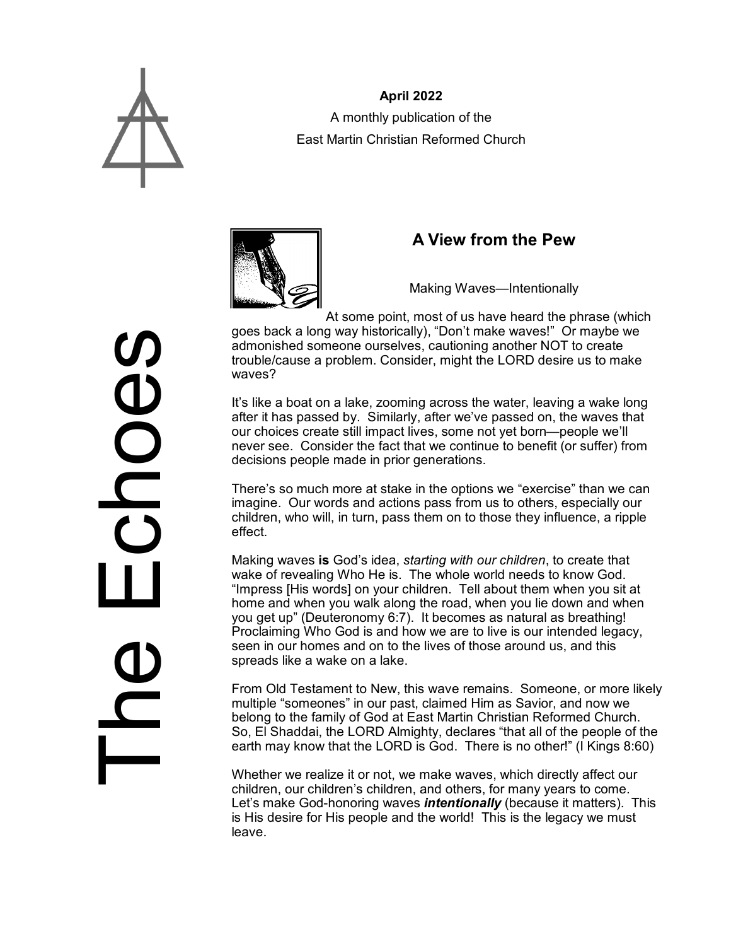

**April 2022** A monthly publication of the East Martin Christian Reformed Church



# **A View from the Pew**

Making Waves—Intentionally

At some point, most of us have heard the phrase (which goes back a long way historically), "Don't make waves!" Or maybe we admonished someone ourselves, cautioning another NOT to create trouble/cause a problem. Consider, might the LORD desire us to make waves?

It's like a boat on a lake, zooming across the water, leaving a wake long after it has passed by. Similarly, after we've passed on, the waves that our choices create still impact lives, some not yet born—people we'll never see. Consider the fact that we continue to benefit (or suffer) from decisions people made in prior generations.

There's so much more at stake in the options we "exercise" than we can imagine. Our words and actions pass from us to others, especially our children, who will, in turn, pass them on to those they influence, a ripple effect.

Making waves **is** God's idea, *starting with our children*, to create that wake of revealing Who He is. The whole world needs to know God. "Impress [His words] on your children. Tell about them when you sit at home and when you walk along the road, when you lie down and when you get up" (Deuteronomy 6:7). It becomes as natural as breathing! Proclaiming Who God is and how we are to live is our intended legacy, seen in our homes and on to the lives of those around us, and this spreads like a wake on a lake.

From Old Testament to New, this wave remains. Someone, or more likely multiple "someones" in our past, claimed Him as Savior, and now we belong to the family of God at East Martin Christian Reformed Church. So, El Shaddai, the LORD Almighty, declares "that all of the people of the earth may know that the LORD is God. There is no other!" (I Kings 8:60)

Whether we realize it or not, we make waves, which directly affect our children, our children's children, and others, for many years to come. Let's make God-honoring waves *intentionally* (because it matters). This is His desire for His people and the world! This is the legacy we must leave.

**SOCO**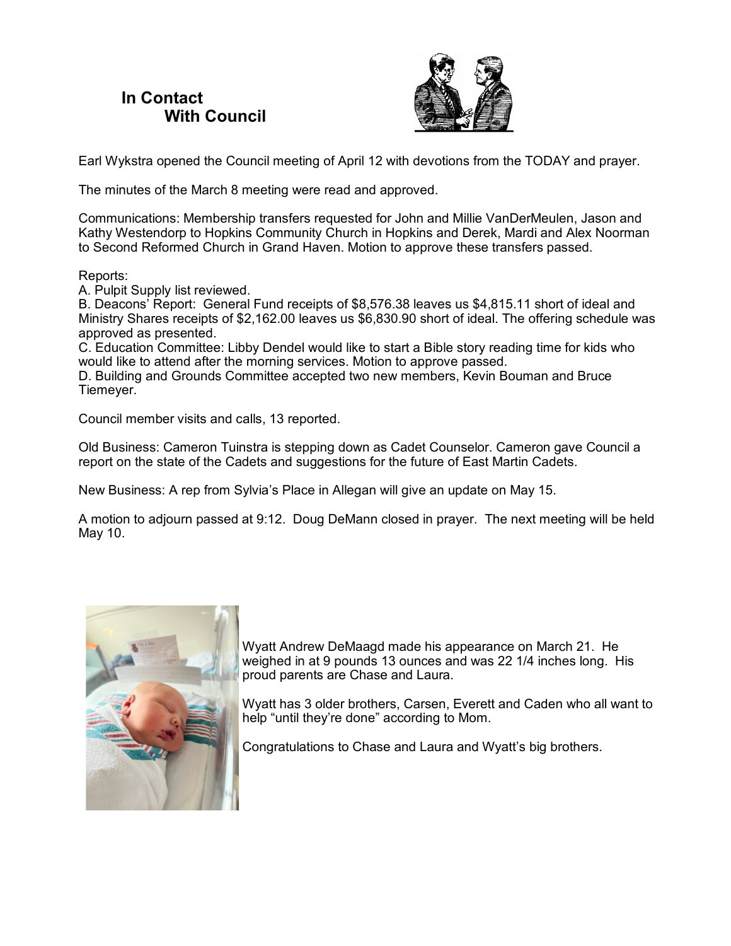### **In Contact With Council**



Earl Wykstra opened the Council meeting of April 12 with devotions from the TODAY and prayer.

The minutes of the March 8 meeting were read and approved.

Communications: Membership transfers requested for John and Millie VanDerMeulen, Jason and Kathy Westendorp to Hopkins Community Church in Hopkins and Derek, Mardi and Alex Noorman to Second Reformed Church in Grand Haven. Motion to approve these transfers passed.

Reports:

A. Pulpit Supply list reviewed.

B. Deacons' Report: General Fund receipts of \$8,576.38 leaves us \$4,815.11 short of ideal and Ministry Shares receipts of \$2,162.00 leaves us \$6,830.90 short of ideal. The offering schedule was approved as presented.

C. Education Committee: Libby Dendel would like to start a Bible story reading time for kids who would like to attend after the morning services. Motion to approve passed.

D. Building and Grounds Committee accepted two new members, Kevin Bouman and Bruce Tiemeyer.

Council member visits and calls, 13 reported.

Old Business: Cameron Tuinstra is stepping down as Cadet Counselor. Cameron gave Council a report on the state of the Cadets and suggestions for the future of East Martin Cadets.

New Business: A rep from Sylvia's Place in Allegan will give an update on May 15.

A motion to adjourn passed at 9:12. Doug DeMann closed in prayer. The next meeting will be held May 10.



Wyatt Andrew DeMaagd made his appearance on March 21. He weighed in at 9 pounds 13 ounces and was 22 1/4 inches long. His proud parents are Chase and Laura.

Wyatt has 3 older brothers, Carsen, Everett and Caden who all want to help "until they're done" according to Mom.

Congratulations to Chase and Laura and Wyatt's big brothers.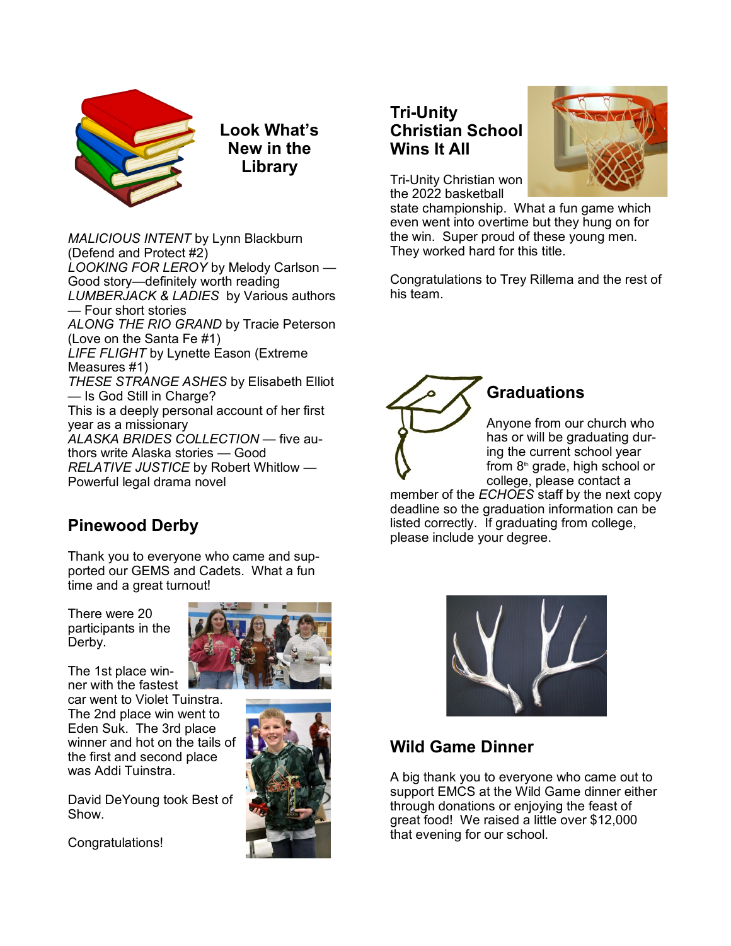

**Look What's New in the Library**

*MALICIOUS INTENT* by Lynn Blackburn (Defend and Protect #2) *LOOKING FOR LEROY* by Melody Carlson — Good story—definitely worth reading *LUMBERJACK & LADIES* by Various authors — Four short stories *ALONG THE RIO GRAND* by Tracie Peterson (Love on the Santa Fe #1) *LIFE FLIGHT* by Lynette Eason (Extreme Measures #1) *THESE STRANGE ASHES* by Elisabeth Elliot — Is God Still in Charge? This is a deeply personal account of her first year as a missionary ALASKA BRIDES COLLECTION - five authors write Alaska stories — Good *RELATIVE JUSTICE* by Robert Whitlow — Powerful legal drama novel

## **Pinewood Derby**

Thank you to everyone who came and supported our GEMS and Cadets. What a fun time and a great turnout!

There were 20 participants in the Derby.

The 1st place winner with the fastest car went to Violet Tuinstra. The 2nd place win went to Eden Suk. The 3rd place winner and hot on the tails of the first and second place was Addi Tuinstra.

David DeYoung took Best of Show.

Congratulations!





## **Tri-Unity Christian School Wins It All**



Tri-Unity Christian won the 2022 basketball

state championship. What a fun game which even went into overtime but they hung on for the win. Super proud of these young men. They worked hard for this title.

Congratulations to Trey Rillema and the rest of his team.



## **Graduations**

Anyone from our church who has or will be graduating during the current school year from  $8<sup>th</sup>$  grade, high school or college, please contact a

member of the *ECHOES* staff by the next copy deadline so the graduation information can be listed correctly. If graduating from college, please include your degree.



## **Wild Game Dinner**

A big thank you to everyone who came out to support EMCS at the Wild Game dinner either through donations or enjoying the feast of great food! We raised a little over \$12,000 that evening for our school.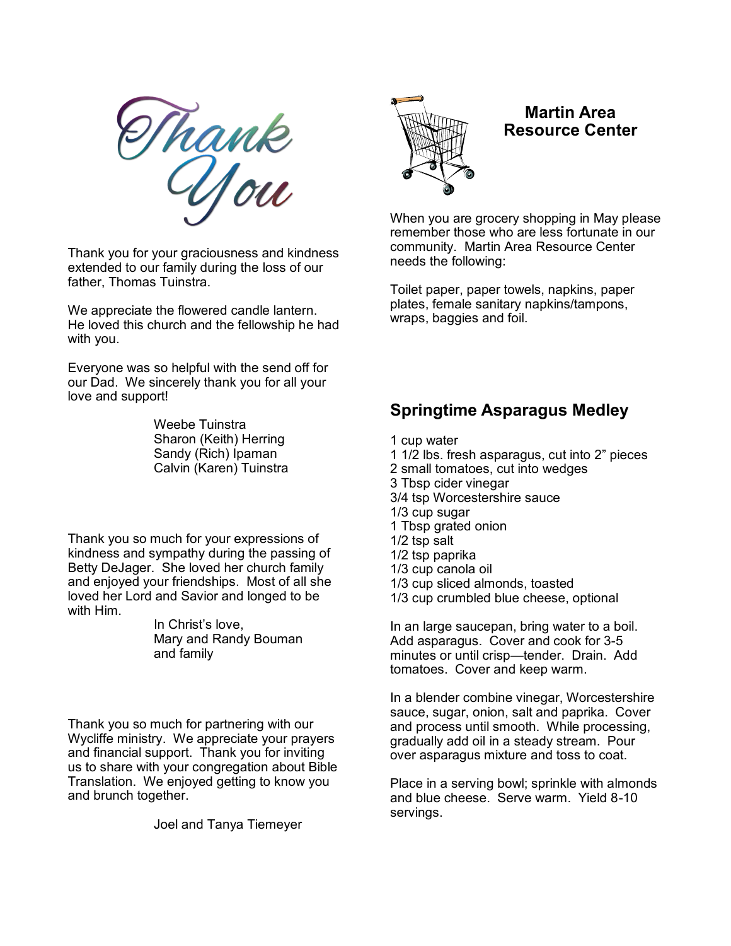

Thank you for your graciousness and kindness extended to our family during the loss of our father, Thomas Tuinstra.

We appreciate the flowered candle lantern. He loved this church and the fellowship he had with you.

Everyone was so helpful with the send off for our Dad. We sincerely thank you for all your love and support!

> Weebe Tuinstra Sharon (Keith) Herring Sandy (Rich) Ipaman Calvin (Karen) Tuinstra

Thank you so much for your expressions of kindness and sympathy during the passing of Betty DeJager. She loved her church family and enjoyed your friendships. Most of all she loved her Lord and Savior and longed to be with Him.

> In Christ's love, Mary and Randy Bouman and family

Thank you so much for partnering with our Wycliffe ministry. We appreciate your prayers and financial support. Thank you for inviting us to share with your congregation about Bible Translation. We enjoyed getting to know you and brunch together.

Joel and Tanya Tiemeyer



#### **Martin Area Resource Center**

When you are grocery shopping in May please remember those who are less fortunate in our community. Martin Area Resource Center needs the following:

Toilet paper, paper towels, napkins, paper plates, female sanitary napkins/tampons, wraps, baggies and foil.

#### **Springtime Asparagus Medley**

- 1 cup water
- 1 1/2 lbs. fresh asparagus, cut into 2" pieces
- 2 small tomatoes, cut into wedges
- 3 Tbsp cider vinegar
- 3/4 tsp Worcestershire sauce
- 1/3 cup sugar
- 1 Tbsp grated onion
- 1/2 tsp salt
- 1/2 tsp paprika
- 1/3 cup canola oil
- 1/3 cup sliced almonds, toasted
- 1/3 cup crumbled blue cheese, optional

In an large saucepan, bring water to a boil. Add asparagus. Cover and cook for 3-5 minutes or until crisp—tender. Drain. Add tomatoes. Cover and keep warm.

In a blender combine vinegar, Worcestershire sauce, sugar, onion, salt and paprika. Cover and process until smooth. While processing, gradually add oil in a steady stream. Pour over asparagus mixture and toss to coat.

Place in a serving bowl; sprinkle with almonds and blue cheese. Serve warm. Yield 8-10 servings.